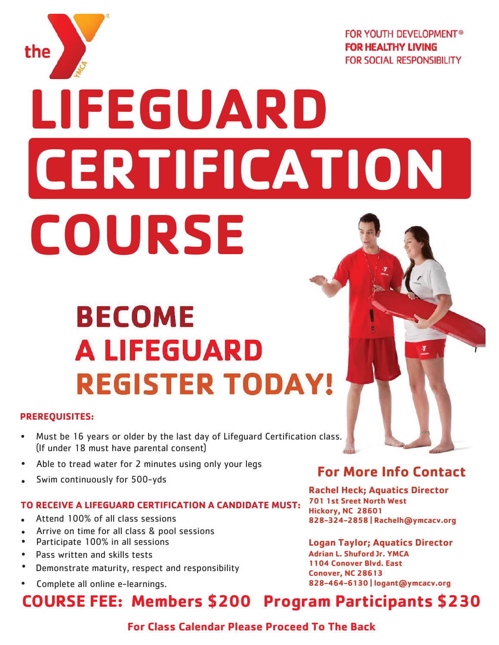

**FOR YOUTH DEVELOPMENT® FOR HEALTHY LIVING FOR SOCIAL RESPONSIBILITY** 

# **LIFEGUARD CERTIFICATION COURSE**

# **BECOME A LIFEGUARD REGISTER TODAY!**

#### **PREREQUISITES:**

- Must be 16 years or older by the last day of Lifeguard Certification class. (If under 18 must have parental consent)  $\bullet$
- Able to tread water for 2 minutes using only your legs
- Swim continuously for 500-yds

#### **TO RECEIVE A LIFEGUARD CERTIFICATION A CANDIDATE MUST:**

- Attend 100% of all class sessions
- Arrive on time for all class & pool sessions
- Participate 100% in all sessions
- Pass written and skills tests
- Demonstrate maturity, respect and responsibility
- 

#### **For More Info Contact**

**Rachel Heck; Aquatics Director 701 1st Sreet North West Hickory, NC 28601** 828-324-2858 | Rachelh@ymcacv.org

**Logan Taylor; Aquatics Director Adrian L. Shuford Jr. YMCA 1104 Conover Blvd. East Conover, NC 28613** Complete all online e-learnings. **Accord 2008** 28-464-6130 | logant@ymcacv.org

## **COURSE FEE: Members \$200 Program Participants \$230**

**For Class Calendar Please Proceed To The Back**